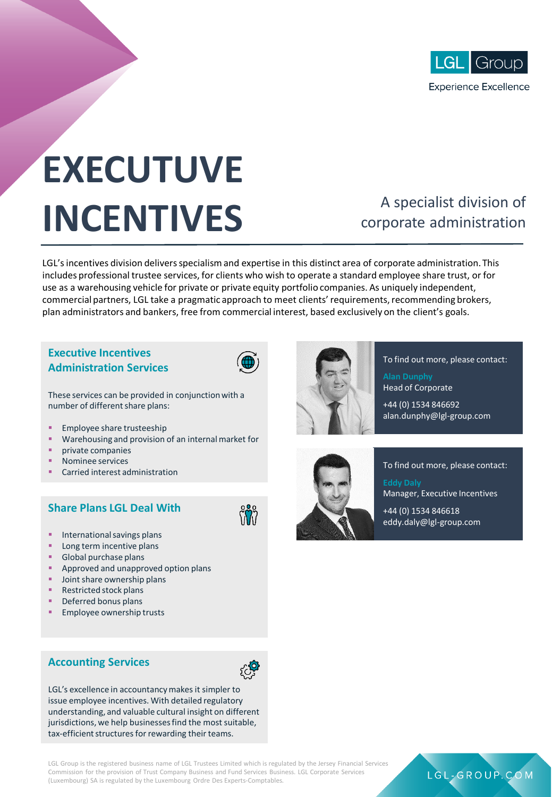

# **EXECUTUVE INCENTIVES**

## A specialist division of corporate administration

LGL's incentives division delivers specialism and expertise in this distinct area of corporate administration. This includes professional trustee services, for clients who wish to operate a standard employee share trust, or for use as a warehousing vehicle for private or private equity portfolio companies. As uniquely independent, commercial partners, LGL take a pragmatic approach to meet clients' requirements, recommending brokers, plan administrators and bankers, free from commercial interest, based exclusively on the client's goals.

#### **Executive Incentives Administration Services**



These services can be provided in conjunction with a number of different share plans:

- Employee share trusteeship
- Warehousing and provision of an internal market for
- private companies
- Nominee services
- Carried interest administration

#### **Share Plans LGL Deal With**



- International savings plans
- Long term incentive plans
- Global purchase plans
- Approved and unapproved option plans
- Joint share ownership plans
- Restricted stock plans
- Deferred bonus plans
- Employee ownership trusts

#### **Accounting Services**



LGL's excellence in accountancy makes it simpler to issue employee incentives. With detailed regulatory understanding, and valuable cultural insight on different jurisdictions, we help businesses find the most suitable, tax-efficient structures for rewarding their teams.

LGL Group is the registered business name of LGL Trustees Limited which is regulated by the Jersey Financial Services Commission for the provision of Trust Company Business and Fund Services Business. LGL Corporate Services (Luxembourg) SA is regulated by the Luxembourg Ordre Des Experts-Comptables.



To find out more, please contact:

**Alan Dunphy** Head of Corporate

+44 (0) 1534 846692 alan.dunphy@lgl-group.com



To find out more, please contact: **Eddy Daly** Manager, Executive Incentives

LGL-GROUP.COM

 $+44(0)$  1534 8466 18 eddy.daly@lgl-group.com